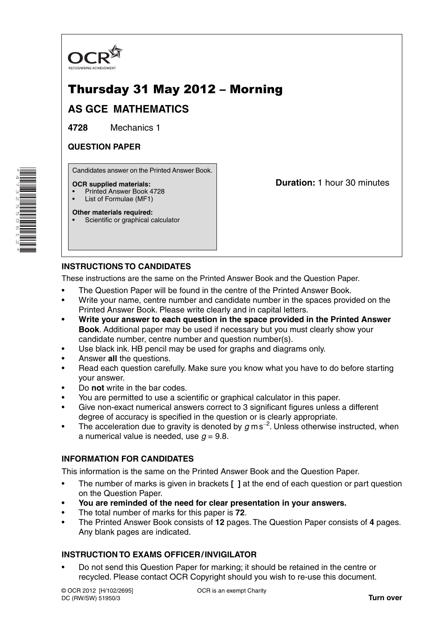

# Thursday 31 May 2012 – Morning

# **AS GCE MATHEMATICS**

**4728** Mechanics 1

#### **QUESTION PAPER**

Candidates answer on the Printed Answer Book.

#### **OCR supplied materials:**

- Printed Answer Book 4728
- List of Formulae (MF1)

**Other materials required:** Scientific or graphical calculator **Duration:** 1 hour 30 minutes

## **INSTRUCTIONS TO CANDIDATES**

These instructions are the same on the Printed Answer Book and the Question Paper.

- The Question Paper will be found in the centre of the Printed Answer Book.
- Write your name, centre number and candidate number in the spaces provided on the Printed Answer Book. Please write clearly and in capital letters.
- **Write your answer to each question in the space provided in the Printed Answer Book**. Additional paper may be used if necessary but you must clearly show your candidate number, centre number and question number(s).
- Use black ink. HB pencil may be used for graphs and diagrams only.
- Answer **all** the questions.
- Read each question carefully. Make sure you know what you have to do before starting your answer.
- Do **not** write in the bar codes.
- You are permitted to use a scientific or graphical calculator in this paper.
- Give non-exact numerical answers correct to 3 significant figures unless a different degree of accuracy is specified in the question or is clearly appropriate.
- The acceleration due to gravity is denoted by *g* m s−<sup>2</sup> . Unless otherwise instructed, when a numerical value is needed, use  $q = 9.8$ .

## **INFORMATION FOR CANDIDATES**

This information is the same on the Printed Answer Book and the Question Paper.

- The number of marks is given in brackets **[ ]** at the end of each question or part question on the Question Paper.
- **You are reminded of the need for clear presentation in your answers.**
- The total number of marks for this paper is **72**.
- The Printed Answer Book consists of **12** pages. The Question Paper consists of **4** pages. Any blank pages are indicated.

## **INSTRUCTION TO EXAMS OFFICER / INVIGILATOR**

• Do not send this Question Paper for marking; it should be retained in the centre or recycled. Please contact OCR Copyright should you wish to re-use this document.

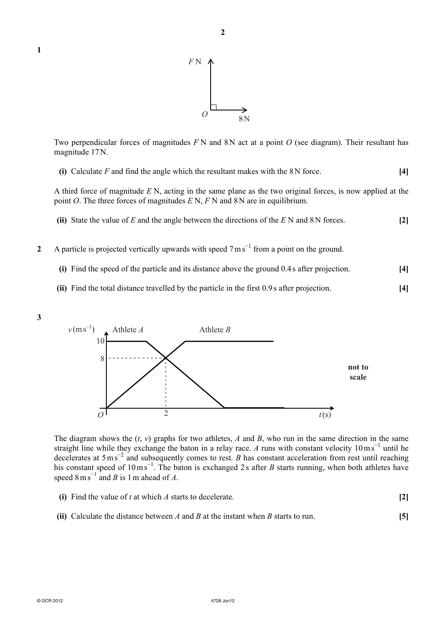





Two perpendicular forces of magnitudes *F* N and 8N act at a point *O* (see diagram). Their resultant has magnitude 17N.

| (i) Calculate $F$ and find the angle which the resultant makes with the $8N$ force. | $[4]$ |
|-------------------------------------------------------------------------------------|-------|
|-------------------------------------------------------------------------------------|-------|

A third force of magnitude *E* N, acting in the same plane as the two original forces, is now applied at the point *O*. The three forces of magnitudes *E* N, *F* N and 8 N are in equilibrium.

| (ii) State the value of E and the angle between the directions of the $E N$ and 8N forces. | $[2]$ |
|--------------------------------------------------------------------------------------------|-------|
|                                                                                            |       |

- 2 A particle is projected vertically upwards with speed 7 m s<sup>-1</sup> from a point on the ground.
	- **(i)** Find the speed of the particle and its distance above the ground 0.4 s after projection. **[4]**
	- **(ii)** Find the total distance travelled by the particle in the first 0.9 s after projection. **[4]**
- **3**



The diagram shows the  $(t, v)$  graphs for two athletes, *A* and *B*, who run in the same direction in the same straight line while they exchange the baton in a relay race. *A* runs with constant velocity 10 m s<sup>−1</sup> until he decelerates at 5 m s<sup>-2</sup> and subsequently comes to rest. *B* has constant acceleration from rest until reaching his constant speed of 10 m s<sup>−1</sup>. The baton is exchanged 2 s after *B* starts running, when both athletes have speed  $8 \text{ m s}^{-1}$  and *B* is 1 m ahead of *A*.

- **(i)** Find the value of *t* at which *A* starts to decelerate. **[2]**
- **(ii)** Calculate the distance between *A* and *B* at the instant when *B* starts to run. **[5]**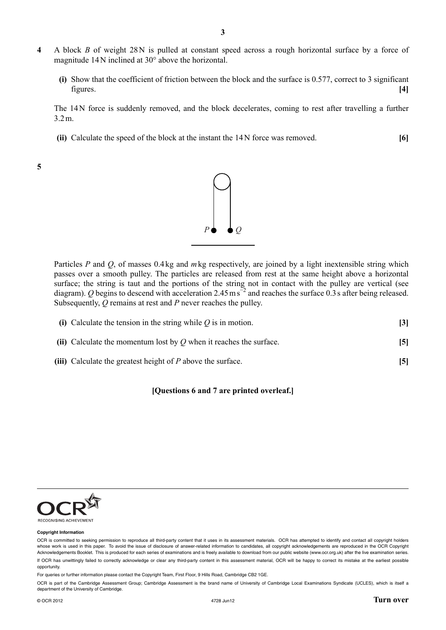- **4** A block *B* of weight 28 N is pulled at constant speed across a rough horizontal surface by a force of magnitude 14 N inclined at 30° above the horizontal.
	- **(i)** Show that the coefficient of friction between the block and the surface is 0.577, correct to 3 significant figures. **[4]**

The 14 N force is suddenly removed, and the block decelerates, coming to rest after travelling a further 3.2 m.

 **(ii)** Calculate the speed of the block at the instant the 14 N force was removed. **[6]**

**5**



Particles *P* and *Q*, of masses 0.4 kg and *m* kg respectively, are joined by a light inextensible string which passes over a smooth pulley. The particles are released from rest at the same height above a horizontal surface; the string is taut and the portions of the string not in contact with the pulley are vertical (see diagram). *Q* begins to descend with acceleration 2.45 m s<sup> $=$ 2</sup> and reaches the surface 0.3 s after being released. Subsequently, *Q* remains at rest and *P* never reaches the pulley.

| (i) Calculate the tension in the string while $Q$ is in motion.      |  |
|----------------------------------------------------------------------|--|
| (ii) Calculate the momentum lost by $Q$ when it reaches the surface. |  |

 **(iii)** Calculate the greatest height of *P* above the surface. **[5]**

#### **[Questions 6 and 7 are printed overleaf.]**



#### **Copyright Information**

For queries or further information please contact the Copyright Team, First Floor, 9 Hills Road, Cambridge CB2 1GE.

OCR is part of the Cambridge Assessment Group; Cambridge Assessment is the brand name of University of Cambridge Local Examinations Syndicate (UCLES), which is itself a department of the University of Cambridge.

OCR is committed to seeking permission to reproduce all third-party content that it uses in its assessment materials. OCR has attempted to identify and contact all copyright holders whose work is used in this paper. To avoid the issue of disclosure of answer-related information to candidates, all copyright acknowledgements are reproduced in the OCR Copyright Acknowledgements Booklet. This is produced for each series of examinations and is freely available to download from our public website (www.ocr.org.uk) after the live examination series. If OCR has unwittingly failed to correctly acknowledge or clear any third-party content in this assessment material, OCR will be happy to correct its mistake at the earliest possible opportunity.